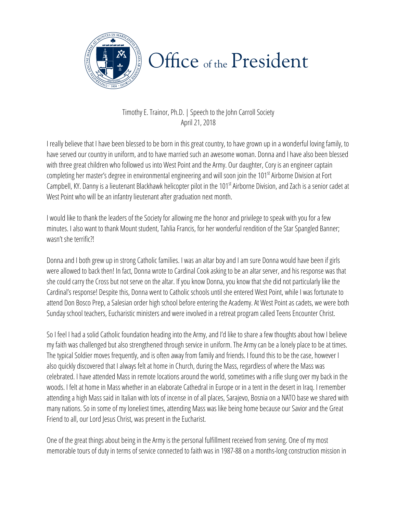

## Office of the President

Timothy E. Trainor, Ph.D. | Speech to the John Carroll Society April 21, 2018

I really believe that I have been blessed to be born in this great country, to have grown up in a wonderful loving family, to have served our country in uniform, and to have married such an awesome woman. Donna and I have also been blessed with three great children who followed us into West Point and the Army. Our daughter, Cory is an engineer captain completing her master's degree in environmental engineering and will soon join the 101<sup>st</sup> Airborne Division at Fort Campbell, KY. Danny is a lieutenant Blackhawk helicopter pilot in the 101<sup>st</sup> Airborne Division, and Zach is a senior cadet at West Point who will be an infantry lieutenant after graduation next month.

I would like to thank the leaders of the Society for allowing me the honor and privilege to speak with you for a few minutes. I also want to thank Mount student, Tahlia Francis, for her wonderful rendition of the Star Spangled Banner; wasn't she terrific?!

Donna and I both grew up in strong Catholic families. I was an altar boy and I am sure Donna would have been if girls were allowed to back then! In fact, Donna wrote to Cardinal Cook asking to be an altar server, and his response was that she could carry the Cross but not serve on the altar. If you know Donna, you know that she did not particularly like the Cardinal's response! Despite this, Donna went to Catholic schools until she entered West Point, while I was fortunate to attend Don Bosco Prep, a Salesian order high school before entering the Academy.At West Point as cadets, we were both Sunday school teachers, Eucharistic ministers and were involved in a retreat program called Teens Encounter Christ.

many nations. So in some of my loneliest times, attending Mass was like being home because our Savior and the Great So I feel I had a solid Catholic foundation heading into the Army, and I'd like to share a few thoughts about how I believe my faith was challenged but also strengthened through service in uniform. The Army can be a lonely place to be at times. The typical Soldier moves frequently, and is often away from family and friends. I found this to be the case, however I also quickly discovered that I always felt at home in Church, during the Mass, regardless of where the Mass was celebrated. I have attended Mass in remote locations around the world, sometimes with a rifle slung over my back in the woods. I felt at home in Mass whether in an elaborate Cathedral in Europe or in a tent in the desert in Iraq. I remember attending a high Mass said in Italian with lots of incense in of all places, Sarajevo, Bosnia on a NATO base we shared with Friend to all, our Lord Jesus Christ, was present in the Eucharist.

One of the great things about being in the Army is the personal fulfillment received from serving. One of my most memorable tours of duty in terms of service connected to faith was in 1987-88 on a months-long construction mission in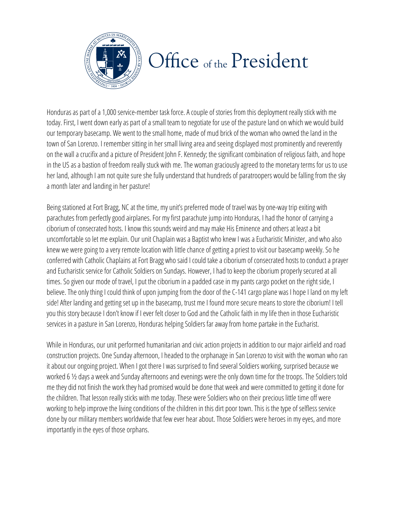

## Office of the President

Honduras as part of a 1,000 service-member task force. A couple of stories from this deployment really stick with me today. First, I went down early as part of a small team to negotiate for use of the pasture land on which we would build our temporary basecamp. We went to the small home, made of mud brick of the woman who owned the land in the town of San Lorenzo. I remember sitting in her small living area and seeing displayed most prominently and reverently on the wall a crucifix and a picture of President John F. Kennedy; the significant combination of religious faith, and hope in the US as a bastion of freedom really stuck with me. The woman graciously agreed to the monetary terms for us to use her land, although I am not quite sure she fully understand that hundreds of paratroopers would be falling from the sky a month later and landing in her pasture!

Being stationed at Fort Bragg, NC at the time, my unit's preferred mode of travel was by one-way trip exiting with parachutes from perfectly good airplanes. For my first parachute jump into Honduras, I had the honor of carrying a ciborium of consecrated hosts. I know this sounds weird and may make His Eminence and others at least a bit uncomfortable so let me explain. Our unit Chaplain was a Baptist who knew I was a Eucharistic Minister, and who also knew we were going to a very remote location with little chance of gettinga priest to visit our basecamp weekly. So he conferred with Catholic Chaplains at Fort Bragg who said I could take a ciborium of consecrated hosts to conduct a prayer and Eucharistic service for Catholic Soldiers on Sundays. However, I had to keep the ciborium properly secured at all times. So given our mode of travel, I put the ciborium in a padded case in my pants cargo pocket on the right side, I believe. The only thing I could think of upon jumping from the door of the C-141 cargo plane was I hope I land on my left side! After landing and getting set up in the basecamp, trust me I found more secure means to store the ciborium! I tell you this story because I don't know if I ever felt closer to God and the Catholic faith in my life then in those Eucharistic services in a pasture in San Lorenzo, Honduras helping Soldiers far away from home partake in the Eucharist.

working to help improve the living conditions of the children in this dirt poor town. This is the type of selfless service importantly in the eyes of those orphans. The example 2 8 and 2 8.25 PM and 2 and 2 8.25 PM and 2 and 2 8.25 PM While in Honduras, our unit performed humanitarian and civic action projects in addition to our major airfield and road construction projects. One Sunday afternoon, I headed to the orphanage in San Lorenzo to visit with the woman who ran it about our ongoing project. When I got there I was surprised to find several Soldiers working, surprised because we worked 6 ½ days a week and Sunday afternoons and evenings were the only down time for the troops. The Soldiers told me they did not finish the work they had promised would be done that week and were committed to getting it done for the children. That lesson really sticks with me today. These were Soldiers who on their precious little time off were done by our military members worldwide that few ever hear about. Those Soldiers were heroes in my eyes, and more